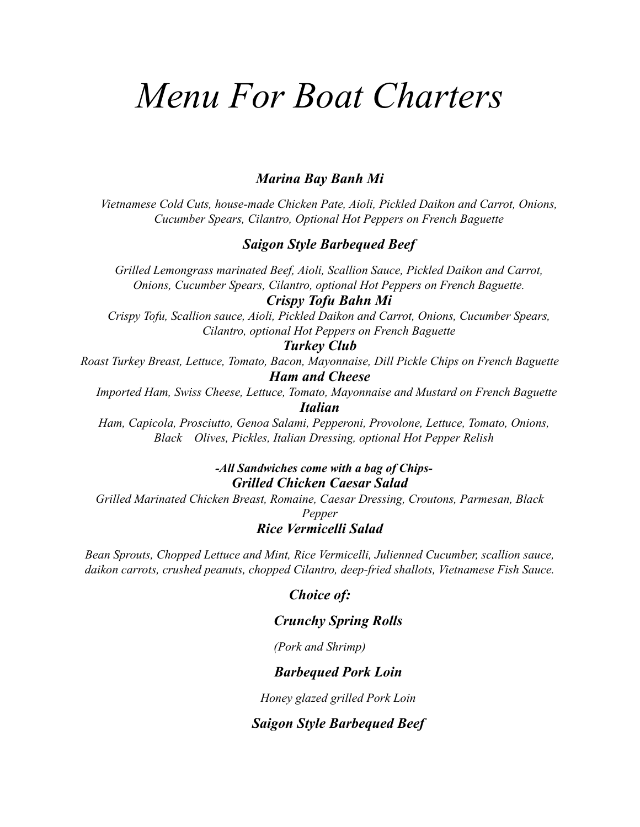# *Menu For Boat Charters*

### *Marina Bay Banh Mi*

*Vietnamese Cold Cuts, house-made Chicken Pate, Aioli, Pickled Daikon and Carrot, Onions, Cucumber Spears, Cilantro, Optional Hot Peppers on French Baguette*

#### *Saigon Style Barbequed Beef*

*Grilled Lemongrass marinated Beef, Aioli, Scallion Sauce, Pickled Daikon and Carrot, Onions, Cucumber Spears, Cilantro, optional Hot Peppers on French Baguette.*

#### *Crispy Tofu Bahn Mi*

*Crispy Tofu, Scallion sauce, Aioli, Pickled Daikon and Carrot, Onions, Cucumber Spears, Cilantro, optional Hot Peppers on French Baguette*

#### *Turkey Club*

*Roast Turkey Breast, Lettuce, Tomato, Bacon, Mayonnaise, Dill Pickle Chips on French Baguette Ham and Cheese*

*Imported Ham, Swiss Cheese, Lettuce, Tomato, Mayonnaise and Mustard on French Baguette Italian*

*Ham, Capicola, Prosciutto, Genoa Salami, Pepperoni, Provolone, Lettuce, Tomato, Onions, Black Olives, Pickles, Italian Dressing, optional Hot Pepper Relish*

## *-All Sandwiches come with a bag of Chips-Grilled Chicken Caesar Salad*

*Grilled Marinated Chicken Breast, Romaine, Caesar Dressing, Croutons, Parmesan, Black Pepper Rice Vermicelli Salad*

*Bean Sprouts, Chopped Lettuce and Mint, Rice Vermicelli, Julienned Cucumber, scallion sauce, daikon carrots, crushed peanuts, chopped Cilantro, deep-fried shallots, Vietnamese Fish Sauce.*

#### *Choice of:*

#### *Crunchy Spring Rolls*

*(Pork and Shrimp)*

#### *Barbequed Pork Loin*

*Honey glazed grilled Pork Loin*

#### *Saigon Style Barbequed Beef*